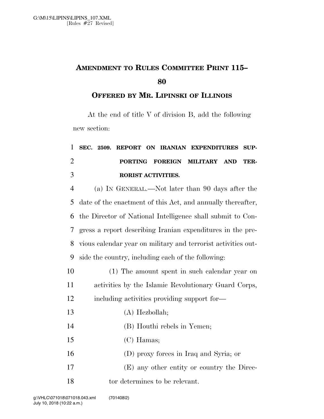## **AMENDMENT TO RULES COMMITTEE PRINT 115–**

## **OFFERED BY MR. LIPINSKI OF ILLINOIS**

At the end of title V of division B, add the following new section:

| 1              | SEC. 2509. REPORT ON IRANIAN EXPENDITURES<br>SUP-             |
|----------------|---------------------------------------------------------------|
| $\overline{2}$ | PORTING FOREIGN MILITARY AND<br>TER-                          |
| 3              | RORIST ACTIVITIES.                                            |
| $\overline{4}$ | (a) IN GENERAL.—Not later than 90 days after the              |
| 5              | date of the enactment of this Act, and annually thereafter,   |
| 6              | the Director of National Intelligence shall submit to Con-    |
| 7              | gress a report describing Iranian expenditures in the pre-    |
| 8              | vious calendar year on military and terrorist activities out- |
| 9              | side the country, including each of the following:            |
| 10             | (1) The amount spent in such calendar year on                 |
| 11             | activities by the Islamic Revolutionary Guard Corps,          |
| 12             | including activities providing support for-                   |
| 13             | $(A)$ Hezbollah;                                              |
| 14             | (B) Houthi rebels in Yemen;                                   |
| 15             | $(C)$ Hamas;                                                  |
| 16             | (D) proxy forces in Iraq and Syria; or                        |
| 17             | (E) any other entity or country the Direc-                    |
|                |                                                               |

18 tor determines to be relevant.